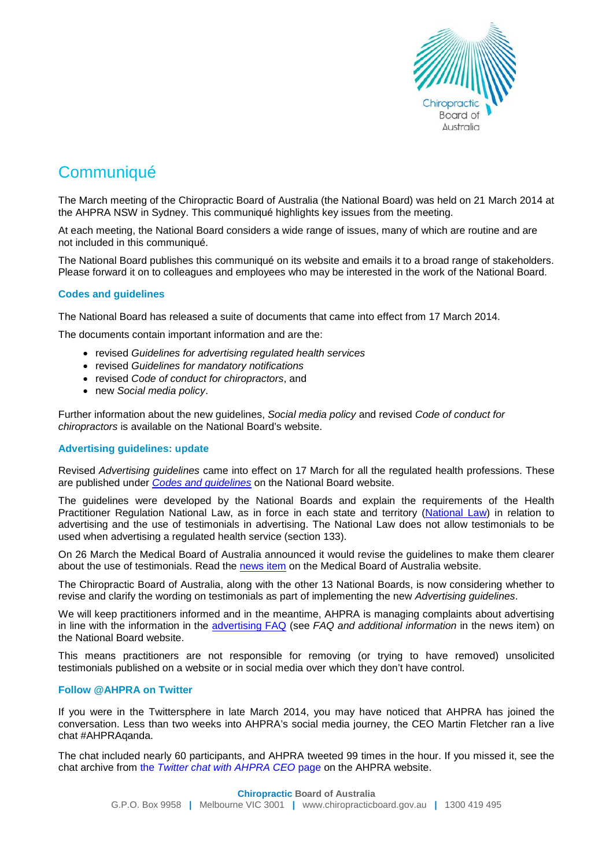

# **Communiqué**

The March meeting of the Chiropractic Board of Australia (the National Board) was held on 21 March 2014 at the AHPRA NSW in Sydney. This communiqué highlights key issues from the meeting.

At each meeting, the National Board considers a wide range of issues, many of which are routine and are not included in this communiqué.

The National Board publishes this communiqué on its website and emails it to a broad range of stakeholders. Please forward it on to colleagues and employees who may be interested in the work of the National Board.

# **Codes and guidelines**

The National Board has released a suite of documents that came into effect from 17 March 2014.

The documents contain important information and are the:

- revised *Guidelines for advertising regulated health services*
- revised *Guidelines for mandatory notifications*
- revised *Code of conduct for chiropractors*, and
- new *Social media policy*.

Further information about the new guidelines, *Social media policy* and revised *Code of conduct for chiropractors* is available on the [National Board's website.](http://www.chiropracticboard.gov.au/Codes-guidelines.aspx)

## **Advertising guidelines: update**

Revised *Advertising guidelines* came into effect on 17 March for all the regulated health professions. These are published under *[Codes and guidelines](http://www.chiropracticboard.gov.au/Codes-guidelines/Guidelines-for-advertising-regulated-health-services.aspx)* on the National Board website.

The guidelines were developed by the National Boards and explain the requirements of the Health Practitioner Regulation National Law, as in force in each state and territory [\(National Law\)](http://www.ahpra.gov.au/About-AHPRA/What-We-Do/Legislation.aspx) in relation to advertising and the use of testimonials in advertising. The National Law does not allow testimonials to be used when advertising a regulated health service (section 133).

On 26 March the Medical Board of Australia announced it would revise the guidelines to make them clearer about the use of testimonials. Read the [news item](http://www.medicalboard.gov.au/News/2014-03-26-mba-to-change-advertising-guidelines.aspx) on the Medical Board of Australia website.

The Chiropractic Board of Australia, along with the other 13 National Boards, is now considering whether to revise and clarify the wording on testimonials as part of implementing the new *Advertising guidelines*.

We will keep practitioners informed and in the meantime, AHPRA is managing complaints about advertising in line with the information in the [advertising FAQ](http://www.chiropracticboard.gov.au/News/2014-03-17-codes-and-guidelines.aspx) (see *FAQ and additional information* in the news item) on the National Board website.

This means practitioners are not responsible for removing (or trying to have removed) unsolicited testimonials published on a website or in social media over which they don't have control.

## **Follow @AHPRA on Twitter**

If you were in the Twittersphere in late March 2014, you may have noticed that AHPRA has joined the conversation. Less than two weeks into AHPRA's social media journey, the CEO Martin Fletcher ran a live chat #AHPRAqanda.

The chat included nearly 60 participants, and AHPRA tweeted 99 times in the hour. If you missed it, see the chat archive from the *[Twitter chat with AHPRA CEO](http://www.ahpra.gov.au/News/2014-03-21-twitter-chat-with-AHPRA-CEO.aspx)* page on the AHPRA website.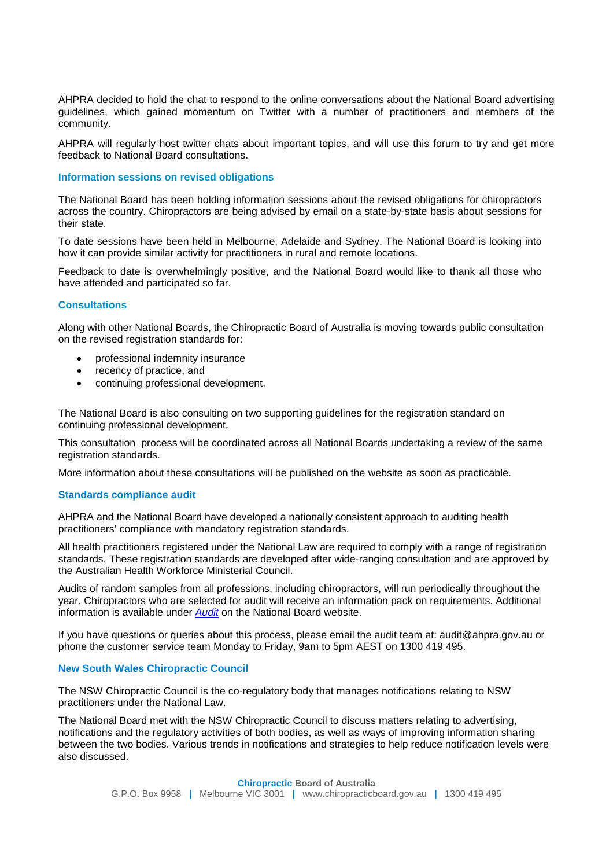AHPRA decided to hold the chat to respond to the online conversations about the National Board advertising guidelines, which gained momentum on Twitter with a number of practitioners and members of the community.

AHPRA will regularly host twitter chats about important topics, and will use this forum to try and get more feedback to National Board consultations.

## **Information sessions on revised obligations**

The National Board has been holding information sessions about the revised obligations for chiropractors across the country. Chiropractors are being advised by email on a state-by-state basis about sessions for their state.

To date sessions have been held in Melbourne, Adelaide and Sydney. The National Board is looking into how it can provide similar activity for practitioners in rural and remote locations.

Feedback to date is overwhelmingly positive, and the National Board would like to thank all those who have attended and participated so far.

## **Consultations**

Along with other National Boards, the Chiropractic Board of Australia is moving towards public consultation on the revised registration standards for:

- professional indemnity insurance
- recency of practice, and
- continuing professional development.

The National Board is also consulting on two supporting guidelines for the registration standard on continuing professional development.

This consultation process will be coordinated across all National Boards undertaking a review of the same registration standards.

More information about these consultations will be published on the website as soon as practicable.

#### **Standards compliance audit**

AHPRA and the National Board have developed a nationally consistent approach to auditing health practitioners' compliance with mandatory registration standards.

All health practitioners registered under the National Law are required to comply with a range of registration standards. These registration standards are developed after wide-ranging consultation and are approved by the Australian Health Workforce Ministerial Council.

Audits of random samples from all professions, including chiropractors, will run periodically throughout the year. Chiropractors who are selected for audit will receive an information pack on requirements. Additional information is available under *[Audit](http://www.chiropracticboard.gov.au/Registration/Audit.aspx)* on the National Board website.

If you have questions or queries about this process, please email the audit team at: [audit@ahpra.gov.au](mailto:audit@ahpra.gov.au) or phone the customer service team Monday to Friday, 9am to 5pm AEST on 1300 419 495.

#### **New South Wales Chiropractic Council**

The NSW Chiropractic Council is the co-regulatory body that manages notifications relating to NSW practitioners under the National Law.

The National Board met with the NSW Chiropractic Council to discuss matters relating to advertising, notifications and the regulatory activities of both bodies, as well as ways of improving information sharing between the two bodies. Various trends in notifications and strategies to help reduce notification levels were also discussed.

> **Chiropractic Board of Australia** G.P.O. Box 9958 **|** Melbourne VIC 3001 **|** www.chiropracticboard.gov.au **|** 1300 419 495